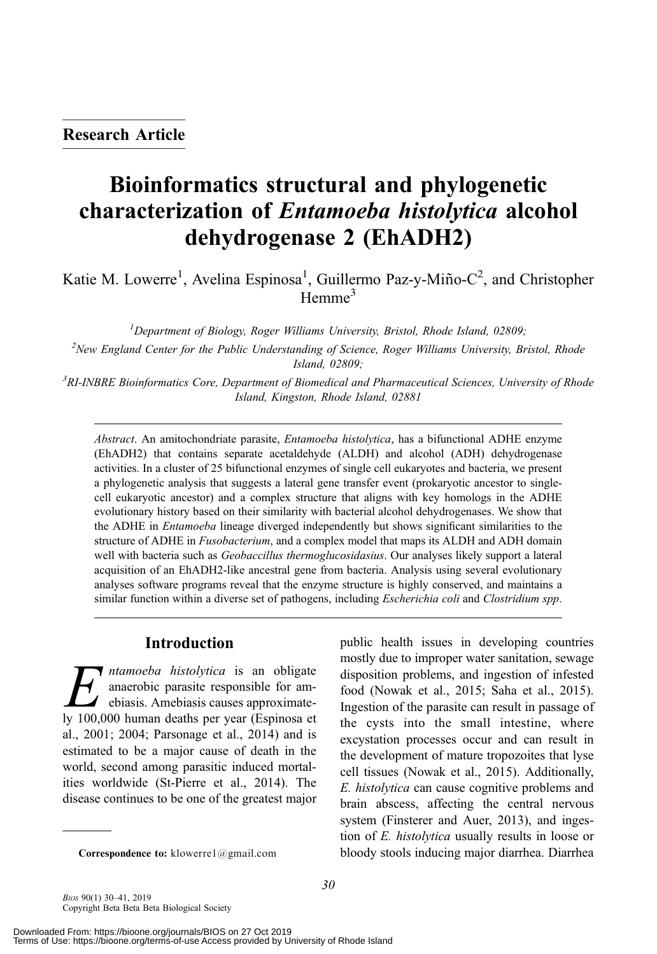# Bioinformatics structural and phylogenetic characterization of Entamoeba histolytica alcohol dehydrogenase 2 (EhADH2)

Katie M. Lowerre<sup>1</sup>, Avelina Espinosa<sup>1</sup>, Guillermo Paz-y-Miño-C<sup>2</sup>, and Christopher Hemme<sup>3</sup>

<sup>1</sup>Department of Biology, Roger Williams University, Bristol, Rhode Island, 02809;

<sup>2</sup>New England Center for the Public Understanding of Science, Roger Williams University, Bristol, Rhode Island, 02809;

<sup>3</sup> RI-INBRE Bioinformatics Core, Department of Biomedical and Pharmaceutical Sciences, University of Rhode Island, Kingston, Rhode Island, 02881

Abstract. An amitochondriate parasite, *Entamoeba histolytica*, has a bifunctional ADHE enzyme (EhADH2) that contains separate acetaldehyde (ALDH) and alcohol (ADH) dehydrogenase activities. In a cluster of 25 bifunctional enzymes of single cell eukaryotes and bacteria, we present a phylogenetic analysis that suggests a lateral gene transfer event (prokaryotic ancestor to singlecell eukaryotic ancestor) and a complex structure that aligns with key homologs in the ADHE evolutionary history based on their similarity with bacterial alcohol dehydrogenases. We show that the ADHE in *Entamoeba* lineage diverged independently but shows significant similarities to the structure of ADHE in *Fusobacterium*, and a complex model that maps its ALDH and ADH domain well with bacteria such as *Geobaccillus thermoglucosidasius*. Our analyses likely support a lateral acquisition of an EhADH2-like ancestral gene from bacteria. Analysis using several evolutionary analyses software programs reveal that the enzyme structure is highly conserved, and maintains a similar function within a diverse set of pathogens, including *Escherichia coli* and *Clostridium spp*.

## Introduction

*H ntamoeba histolytica* is an obligate<br>anaerobic parasite responsible for am-<br>ebiasis. Amebiasis causes approximate-<br>y 100,000 human deaths ner year (Espinosa et anaerobic parasite responsible for amebiasis. Amebiasis causes approximately 100,000 human deaths per year (Espinosa et al., 2001; 2004; Parsonage et al., 2014) and is estimated to be a major cause of death in the world, second among parasitic induced mortalities worldwide (St-Pierre et al., 2014). The disease continues to be one of the greatest major

public health issues in developing countries mostly due to improper water sanitation, sewage disposition problems, and ingestion of infested food (Nowak et al., 2015; Saha et al., 2015). Ingestion of the parasite can result in passage of the cysts into the small intestine, where excystation processes occur and can result in the development of mature tropozoites that lyse cell tissues (Nowak et al., 2015). Additionally, E. histolytica can cause cognitive problems and brain abscess, affecting the central nervous system (Finsterer and Auer, 2013), and ingestion of E. histolytica usually results in loose or Correspondence to: klowerre1@gmail.com bloody stools inducing major diarrhea. Diarrhea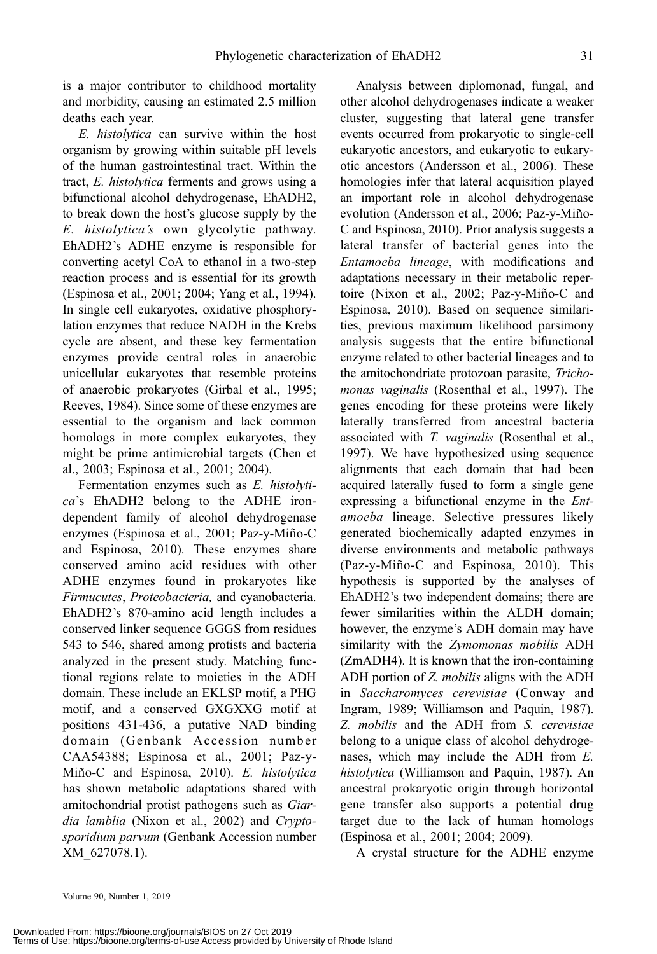is a major contributor to childhood mortality and morbidity, causing an estimated 2.5 million deaths each year.

E. histolytica can survive within the host organism by growing within suitable pH levels of the human gastrointestinal tract. Within the tract, E. histolytica ferments and grows using a bifunctional alcohol dehydrogenase, EhADH2, to break down the host's glucose supply by the E. histolytica's own glycolytic pathway. EhADH2's ADHE enzyme is responsible for converting acetyl CoA to ethanol in a two-step reaction process and is essential for its growth (Espinosa et al., 2001; 2004; Yang et al., 1994). In single cell eukaryotes, oxidative phosphorylation enzymes that reduce NADH in the Krebs cycle are absent, and these key fermentation enzymes provide central roles in anaerobic unicellular eukaryotes that resemble proteins of anaerobic prokaryotes (Girbal et al., 1995; Reeves, 1984). Since some of these enzymes are essential to the organism and lack common homologs in more complex eukaryotes, they might be prime antimicrobial targets (Chen et al., 2003; Espinosa et al., 2001; 2004).

Fermentation enzymes such as E. histolytica's EhADH2 belong to the ADHE irondependent family of alcohol dehydrogenase enzymes (Espinosa et al., 2001; Paz-y-Miño-C and Espinosa, 2010). These enzymes share conserved amino acid residues with other ADHE enzymes found in prokaryotes like Firmucutes, Proteobacteria, and cyanobacteria. EhADH2's 870-amino acid length includes a conserved linker sequence GGGS from residues 543 to 546, shared among protists and bacteria analyzed in the present study. Matching functional regions relate to moieties in the ADH domain. These include an EKLSP motif, a PHG motif, and a conserved GXGXXG motif at positions 431-436, a putative NAD binding domain (Genbank Accession number CAA54388; Espinosa et al., 2001; Paz-y-Miño-C and Espinosa, 2010). E. histolytica has shown metabolic adaptations shared with amitochondrial protist pathogens such as Giardia lamblia (Nixon et al., 2002) and Cryptosporidium parvum (Genbank Accession number XM\_627078.1).

Analysis between diplomonad, fungal, and other alcohol dehydrogenases indicate a weaker cluster, suggesting that lateral gene transfer events occurred from prokaryotic to single-cell eukaryotic ancestors, and eukaryotic to eukaryotic ancestors (Andersson et al., 2006). These homologies infer that lateral acquisition played an important role in alcohol dehydrogenase evolution (Andersson et al., 2006; Paz-y-Miño-C and Espinosa, 2010). Prior analysis suggests a lateral transfer of bacterial genes into the Entamoeba lineage, with modifications and adaptations necessary in their metabolic repertoire (Nixon et al., 2002; Paz-y-Miño-C and Espinosa, 2010). Based on sequence similarities, previous maximum likelihood parsimony analysis suggests that the entire bifunctional enzyme related to other bacterial lineages and to the amitochondriate protozoan parasite, Trichomonas vaginalis (Rosenthal et al., 1997). The genes encoding for these proteins were likely laterally transferred from ancestral bacteria associated with T. vaginalis (Rosenthal et al., 1997). We have hypothesized using sequence alignments that each domain that had been acquired laterally fused to form a single gene expressing a bifunctional enzyme in the Entamoeba lineage. Selective pressures likely generated biochemically adapted enzymes in diverse environments and metabolic pathways (Paz-y-Miño-C and Espinosa, 2010). This hypothesis is supported by the analyses of EhADH2's two independent domains; there are fewer similarities within the ALDH domain; however, the enzyme's ADH domain may have similarity with the Zymomonas mobilis ADH (ZmADH4). It is known that the iron-containing ADH portion of Z. *mobilis* aligns with the ADH in Saccharomyces cerevisiae (Conway and Ingram, 1989; Williamson and Paquin, 1987). Z. mobilis and the ADH from S. cerevisiae belong to a unique class of alcohol dehydrogenases, which may include the ADH from E. histolytica (Williamson and Paquin, 1987). An ancestral prokaryotic origin through horizontal gene transfer also supports a potential drug target due to the lack of human homologs (Espinosa et al., 2001; 2004; 2009).

A crystal structure for the ADHE enzyme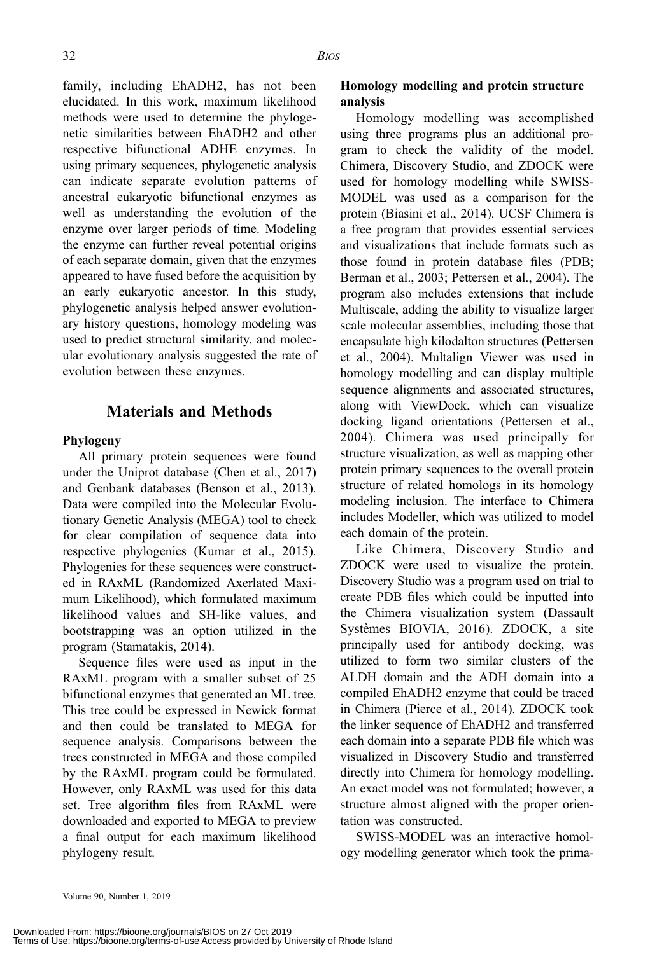family, including EhADH2, has not been elucidated. In this work, maximum likelihood methods were used to determine the phylogenetic similarities between EhADH2 and other respective bifunctional ADHE enzymes. In using primary sequences, phylogenetic analysis can indicate separate evolution patterns of ancestral eukaryotic bifunctional enzymes as well as understanding the evolution of the enzyme over larger periods of time. Modeling the enzyme can further reveal potential origins of each separate domain, given that the enzymes appeared to have fused before the acquisition by an early eukaryotic ancestor. In this study, phylogenetic analysis helped answer evolutionary history questions, homology modeling was used to predict structural similarity, and molecular evolutionary analysis suggested the rate of evolution between these enzymes.

# Materials and Methods

#### Phylogeny

All primary protein sequences were found under the Uniprot database (Chen et al., 2017) and Genbank databases (Benson et al., 2013). Data were compiled into the Molecular Evolutionary Genetic Analysis (MEGA) tool to check for clear compilation of sequence data into respective phylogenies (Kumar et al., 2015). Phylogenies for these sequences were constructed in RAxML (Randomized Axerlated Maximum Likelihood), which formulated maximum likelihood values and SH-like values, and bootstrapping was an option utilized in the program (Stamatakis, 2014).

Sequence files were used as input in the RAxML program with a smaller subset of 25 bifunctional enzymes that generated an ML tree. This tree could be expressed in Newick format and then could be translated to MEGA for sequence analysis. Comparisons between the trees constructed in MEGA and those compiled by the RAxML program could be formulated. However, only RAxML was used for this data set. Tree algorithm files from RAxML were downloaded and exported to MEGA to preview a final output for each maximum likelihood phylogeny result.

## Homology modelling and protein structure analysis

Homology modelling was accomplished using three programs plus an additional program to check the validity of the model. Chimera, Discovery Studio, and ZDOCK were used for homology modelling while SWISS-MODEL was used as a comparison for the protein (Biasini et al., 2014). UCSF Chimera is a free program that provides essential services and visualizations that include formats such as those found in protein database files (PDB; Berman et al., 2003; Pettersen et al., 2004). The program also includes extensions that include Multiscale, adding the ability to visualize larger scale molecular assemblies, including those that encapsulate high kilodalton structures (Pettersen et al., 2004). Multalign Viewer was used in homology modelling and can display multiple sequence alignments and associated structures, along with ViewDock, which can visualize docking ligand orientations (Pettersen et al., 2004). Chimera was used principally for structure visualization, as well as mapping other protein primary sequences to the overall protein structure of related homologs in its homology modeling inclusion. The interface to Chimera includes Modeller, which was utilized to model each domain of the protein.

Like Chimera, Discovery Studio and ZDOCK were used to visualize the protein. Discovery Studio was a program used on trial to create PDB files which could be inputted into the Chimera visualization system (Dassault Systèmes BIOVIA, 2016). ZDOCK, a site principally used for antibody docking, was utilized to form two similar clusters of the ALDH domain and the ADH domain into a compiled EhADH2 enzyme that could be traced in Chimera (Pierce et al., 2014). ZDOCK took the linker sequence of EhADH2 and transferred each domain into a separate PDB file which was visualized in Discovery Studio and transferred directly into Chimera for homology modelling. An exact model was not formulated; however, a structure almost aligned with the proper orientation was constructed.

SWISS-MODEL was an interactive homology modelling generator which took the prima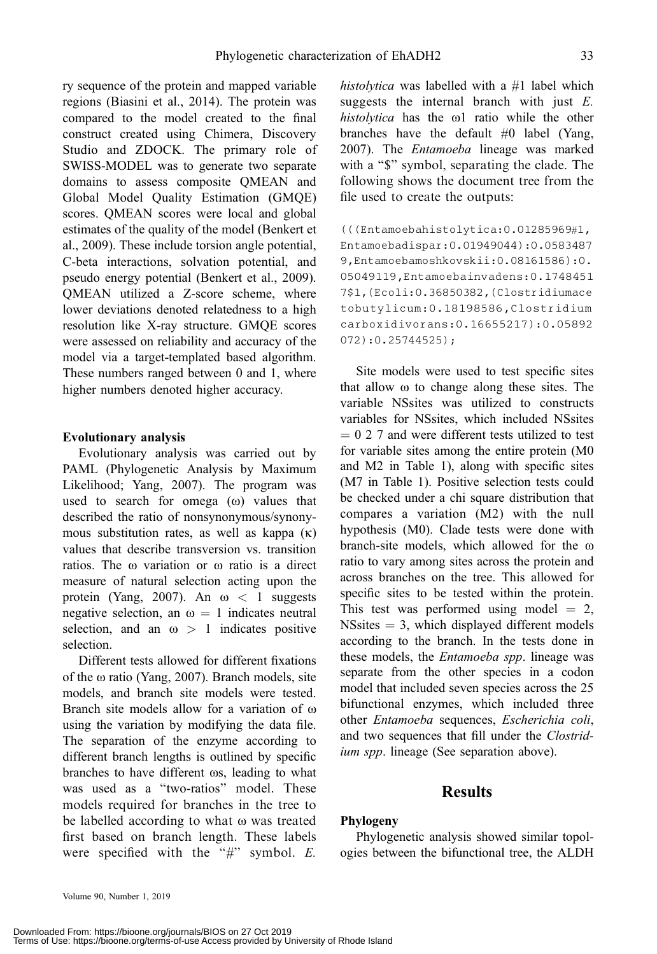ry sequence of the protein and mapped variable regions (Biasini et al., 2014). The protein was compared to the model created to the final construct created using Chimera, Discovery Studio and ZDOCK. The primary role of SWISS-MODEL was to generate two separate domains to assess composite QMEAN and Global Model Quality Estimation (GMQE) scores. QMEAN scores were local and global estimates of the quality of the model (Benkert et al., 2009). These include torsion angle potential, C-beta interactions, solvation potential, and pseudo energy potential (Benkert et al., 2009). QMEAN utilized a Z-score scheme, where lower deviations denoted relatedness to a high resolution like X-ray structure. GMQE scores were assessed on reliability and accuracy of the model via a target-templated based algorithm. These numbers ranged between 0 and 1, where higher numbers denoted higher accuracy.

#### Evolutionary analysis

Evolutionary analysis was carried out by PAML (Phylogenetic Analysis by Maximum Likelihood; Yang, 2007). The program was used to search for omega  $(\omega)$  values that described the ratio of nonsynonymous/synonymous substitution rates, as well as kappa  $(\kappa)$ values that describe transversion vs. transition ratios. The  $\omega$  variation or  $\omega$  ratio is a direct measure of natural selection acting upon the protein (Yang, 2007). An  $\omega < 1$  suggests negative selection, an  $\omega = 1$  indicates neutral selection, and an  $\omega > 1$  indicates positive selection.

Different tests allowed for different fixations of the  $\omega$  ratio (Yang, 2007). Branch models, site models, and branch site models were tested. Branch site models allow for a variation of  $\omega$ using the variation by modifying the data file. The separation of the enzyme according to different branch lengths is outlined by specific branches to have different  $\omega s$ , leading to what was used as a ''two-ratios'' model. These models required for branches in the tree to be labelled according to what  $\omega$  was treated first based on branch length. These labels were specified with the " $\#$ " symbol. E. histolytica was labelled with a #1 label which suggests the internal branch with just  $E$ . histolytica has the  $\omega$ 1 ratio while the other branches have the default #0 label (Yang, 2007). The Entamoeba lineage was marked with a "\$" symbol, separating the clade. The following shows the document tree from the file used to create the outputs:

(((Entamoebahistolytica:0.01285969#1, Entamoebadispar:0.01949044):0.0583487 9,Entamoebamoshkovskii:0.08161586):0. 05049119,Entamoebainvadens:0.1748451 7\$1,(Ecoli:0.36850382,(Clostridiumace tobutylicum:0.18198586,Clostridium carboxidivorans:0.16655217):0.05892 072):0.25744525);

Site models were used to test specific sites that allow  $\omega$  to change along these sites. The variable NSsites was utilized to constructs variables for NSsites, which included NSsites  $= 0 2 7$  and were different tests utilized to test for variable sites among the entire protein (M0 and M2 in Table 1), along with specific sites (M7 in Table 1). Positive selection tests could be checked under a chi square distribution that compares a variation (M2) with the null hypothesis (M0). Clade tests were done with branch-site models, which allowed for the  $\omega$ ratio to vary among sites across the protein and across branches on the tree. This allowed for specific sites to be tested within the protein. This test was performed using model  $= 2$ ,  $NS sites = 3$ , which displayed different models according to the branch. In the tests done in these models, the *Entamoeba spp*. lineage was separate from the other species in a codon model that included seven species across the 25 bifunctional enzymes, which included three other Entamoeba sequences, Escherichia coli, and two sequences that fill under the *Clostrid*ium spp. lineage (See separation above).

#### Results

#### Phylogeny

Phylogenetic analysis showed similar topologies between the bifunctional tree, the ALDH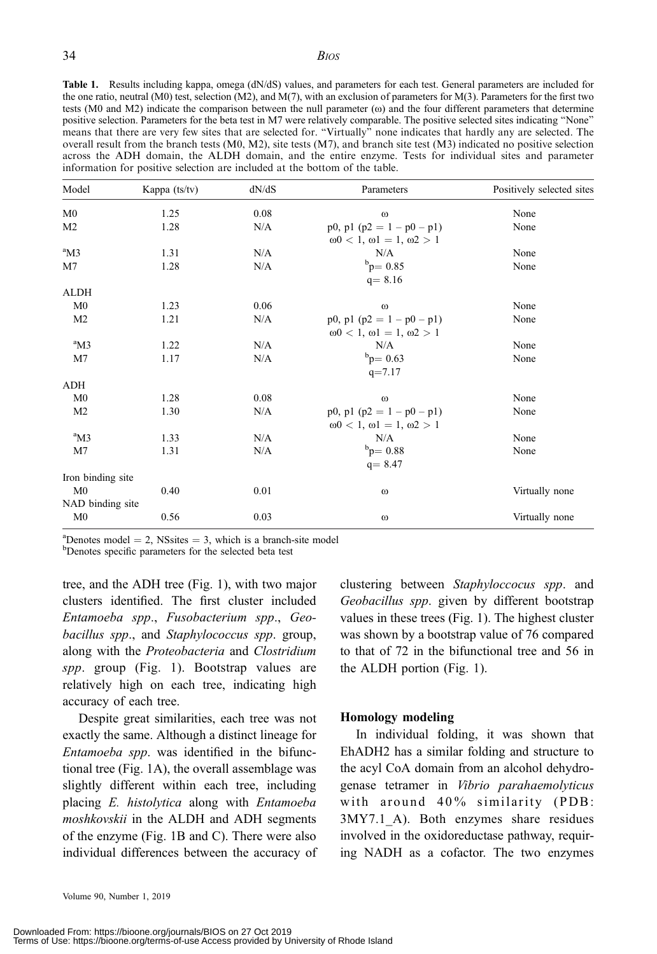Table 1. Results including kappa, omega (dN/dS) values, and parameters for each test. General parameters are included for the one ratio, neutral (M0) test, selection (M2), and M(7), with an exclusion of parameters for M(3). Parameters for the first two tests (M0 and M2) indicate the comparison between the null parameter ( $\omega$ ) and the four different parameters that determine positive selection. Parameters for the beta test in M7 were relatively comparable. The positive selected sites indicating ''None'' means that there are very few sites that are selected for. ''Virtually'' none indicates that hardly any are selected. The overall result from the branch tests (M0, M2), site tests (M7), and branch site test (M3) indicated no positive selection across the ADH domain, the ALDH domain, and the entire enzyme. Tests for individual sites and parameter information for positive selection are included at the bottom of the table.

| Model             | Kappa (ts/tv) | dN/dS | Parameters                                                                     | Positively selected sites |
|-------------------|---------------|-------|--------------------------------------------------------------------------------|---------------------------|
| M <sub>0</sub>    | 1.25          | 0.08  | $\omega$                                                                       | None                      |
| M <sub>2</sub>    | 1.28          | N/A   | p0, p1 (p2 = $1 - p0 - p1$ )<br>$\omega$ 0 < 1, $\omega$ 1 = 1, $\omega$ 2 > 1 | None                      |
| $\mathrm{^{a}M3}$ | 1.31          | N/A   | N/A                                                                            | None                      |
| M7                | 1.28          | N/A   | $b_{\rm p} = 0.85$<br>$q = 8.16$                                               | None                      |
| <b>ALDH</b>       |               |       |                                                                                |                           |
| M <sub>0</sub>    | 1.23          | 0.06  | $\omega$                                                                       | None                      |
| M <sub>2</sub>    | 1.21          | N/A   | p0, p1 (p2 = $1 - p0 - p1$ )<br>$\omega$ 0 < 1, $\omega$ 1 = 1, $\omega$ 2 > 1 | None                      |
| $\mathrm{^{a}M3}$ | 1.22          | N/A   | N/A                                                                            | None                      |
| M7                | 1.17          | N/A   | $_{\rm p}^{\rm b}$ = 0.63<br>$q = 7.17$                                        | None                      |
| ADH               |               |       |                                                                                |                           |
| M <sub>0</sub>    | 1.28          | 0.08  | $\omega$                                                                       | None                      |
| M <sub>2</sub>    | 1.30          | N/A   | p0, p1 (p2 = $1 - p0 - p1$ )<br>$ω0 < 1, ω1 = 1, ω2 > 1$                       | None                      |
| $\mathrm{^{a}M3}$ | 1.33          | N/A   | N/A                                                                            | None                      |
| M7                | 1.31          | N/A   | $_{\rm b}^{\rm b}$ p= 0.88<br>$q = 8.47$                                       | None                      |
| Iron binding site |               |       |                                                                                |                           |
| M <sub>0</sub>    | 0.40          | 0.01  | $\omega$                                                                       | Virtually none            |
| NAD binding site  |               |       |                                                                                |                           |
| M <sub>0</sub>    | 0.56          | 0.03  | $\omega$                                                                       | Virtually none            |

<sup>a</sup>Denotes model = 2, NSsites = 3, which is a branch-site model<br><sup>b</sup>Denotes specific parameters for the selected beta test

Denotes specific parameters for the selected beta test

tree, and the ADH tree (Fig. 1), with two major clusters identified. The first cluster included Entamoeba spp., Fusobacterium spp., Geobacillus spp., and Staphylococcus spp. group, along with the Proteobacteria and Clostridium spp. group (Fig. 1). Bootstrap values are relatively high on each tree, indicating high accuracy of each tree.

Despite great similarities, each tree was not exactly the same. Although a distinct lineage for Entamoeba spp. was identified in the bifunctional tree (Fig. 1A), the overall assemblage was slightly different within each tree, including placing E. histolytica along with Entamoeba moshkovskii in the ALDH and ADH segments of the enzyme (Fig. 1B and C). There were also individual differences between the accuracy of clustering between Staphyloccocus spp. and Geobacillus spp. given by different bootstrap values in these trees (Fig. 1). The highest cluster was shown by a bootstrap value of 76 compared to that of 72 in the bifunctional tree and 56 in the ALDH portion (Fig. 1).

#### Homology modeling

In individual folding, it was shown that EhADH2 has a similar folding and structure to the acyl CoA domain from an alcohol dehydrogenase tetramer in Vibrio parahaemolyticus with around 40% similarity (PDB: 3MY7.1\_A). Both enzymes share residues involved in the oxidoreductase pathway, requiring NADH as a cofactor. The two enzymes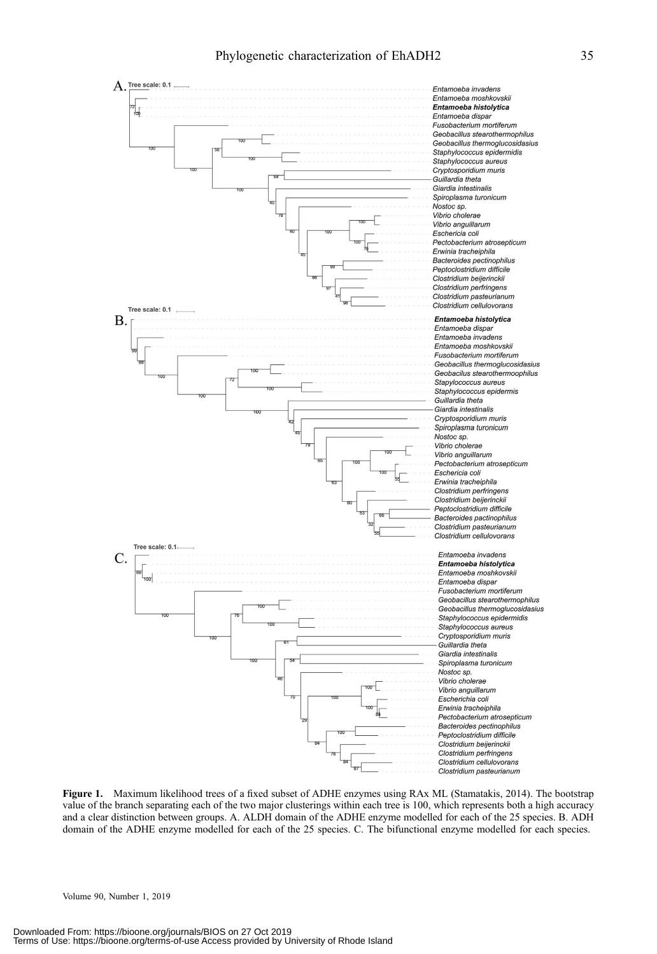

Figure 1. Maximum likelihood trees of a fixed subset of ADHE enzymes using RAx ML (Stamatakis, 2014). The bootstrap value of the branch separating each of the two major clusterings within each tree is 100, which represents both a high accuracy and a clear distinction between groups. A. ALDH domain of the ADHE enzyme modelled for each of the 25 species. B. ADH domain of the ADHE enzyme modelled for each of the 25 species. C. The bifunctional enzyme modelled for each species.

Volume 90, Number 1, 2019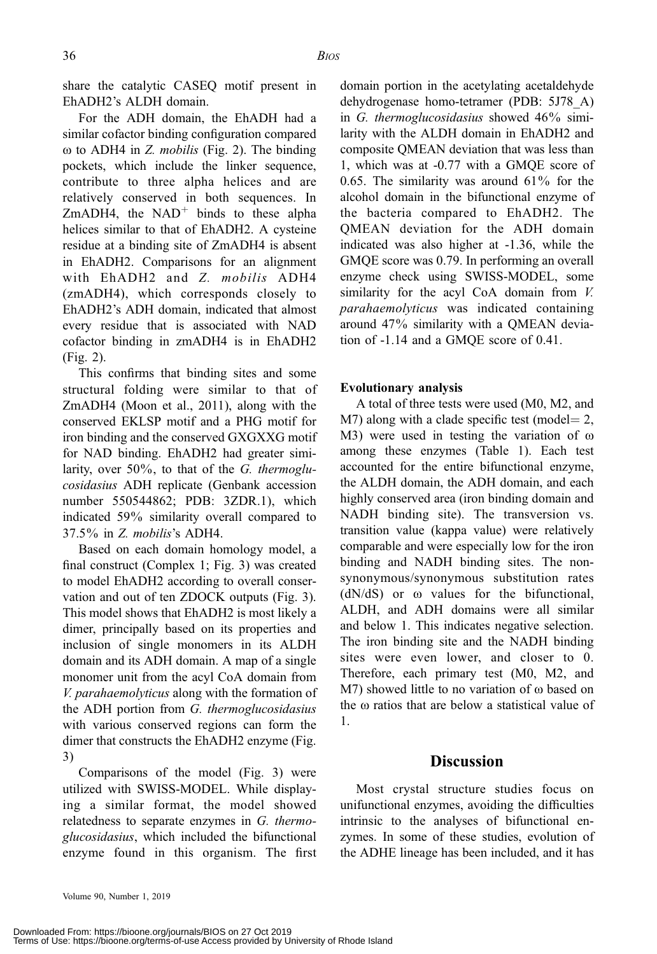share the catalytic CASEQ motif present in EhADH2's ALDH domain.

For the ADH domain, the EhADH had a similar cofactor binding configuration compared  $\omega$  to ADH4 in *Z. mobilis* (Fig. 2). The binding pockets, which include the linker sequence, contribute to three alpha helices and are relatively conserved in both sequences. In ZmADH4, the  $NAD^+$  binds to these alpha helices similar to that of EhADH2. A cysteine residue at a binding site of ZmADH4 is absent in EhADH2. Comparisons for an alignment with EhADH2 and Z. mobilis ADH4 (zmADH4), which corresponds closely to EhADH2's ADH domain, indicated that almost every residue that is associated with NAD cofactor binding in zmADH4 is in EhADH2 (Fig. 2).

This confirms that binding sites and some structural folding were similar to that of ZmADH4 (Moon et al., 2011), along with the conserved EKLSP motif and a PHG motif for iron binding and the conserved GXGXXG motif for NAD binding. EhADH2 had greater similarity, over  $50\%$ , to that of the G. thermoglucosidasius ADH replicate (Genbank accession number 550544862; PDB: 3ZDR.1), which indicated 59% similarity overall compared to 37.5% in Z. mobilis's ADH4.

Based on each domain homology model, a final construct (Complex 1; Fig. 3) was created to model EhADH2 according to overall conservation and out of ten ZDOCK outputs (Fig. 3). This model shows that EhADH2 is most likely a dimer, principally based on its properties and inclusion of single monomers in its ALDH domain and its ADH domain. A map of a single monomer unit from the acyl CoA domain from V. parahaemolyticus along with the formation of the ADH portion from G. thermoglucosidasius with various conserved regions can form the dimer that constructs the EhADH2 enzyme (Fig. 3)

Comparisons of the model (Fig. 3) were utilized with SWISS-MODEL. While displaying a similar format, the model showed relatedness to separate enzymes in G. thermoglucosidasius, which included the bifunctional enzyme found in this organism. The first domain portion in the acetylating acetaldehyde dehydrogenase homo-tetramer (PDB: 5J78\_A) in G. thermoglucosidasius showed 46% similarity with the ALDH domain in EhADH2 and composite QMEAN deviation that was less than 1, which was at -0.77 with a GMQE score of 0.65. The similarity was around 61% for the alcohol domain in the bifunctional enzyme of the bacteria compared to EhADH2. The QMEAN deviation for the ADH domain indicated was also higher at -1.36, while the GMQE score was 0.79. In performing an overall enzyme check using SWISS-MODEL, some similarity for the acyl CoA domain from  $V$ . parahaemolyticus was indicated containing around 47% similarity with a QMEAN deviation of -1.14 and a GMQE score of 0.41.

## Evolutionary analysis

A total of three tests were used (M0, M2, and  $M7$ ) along with a clade specific test (model= 2, M3) were used in testing the variation of  $\omega$ among these enzymes (Table 1). Each test accounted for the entire bifunctional enzyme, the ALDH domain, the ADH domain, and each highly conserved area (iron binding domain and NADH binding site). The transversion vs. transition value (kappa value) were relatively comparable and were especially low for the iron binding and NADH binding sites. The nonsynonymous/synonymous substitution rates  $(dN/dS)$  or  $\omega$  values for the bifunctional, ALDH, and ADH domains were all similar and below 1. This indicates negative selection. The iron binding site and the NADH binding sites were even lower, and closer to 0. Therefore, each primary test (M0, M2, and  $M7$ ) showed little to no variation of  $\omega$  based on the  $\omega$  ratios that are below a statistical value of 1.

## **Discussion**

Most crystal structure studies focus on unifunctional enzymes, avoiding the difficulties intrinsic to the analyses of bifunctional enzymes. In some of these studies, evolution of the ADHE lineage has been included, and it has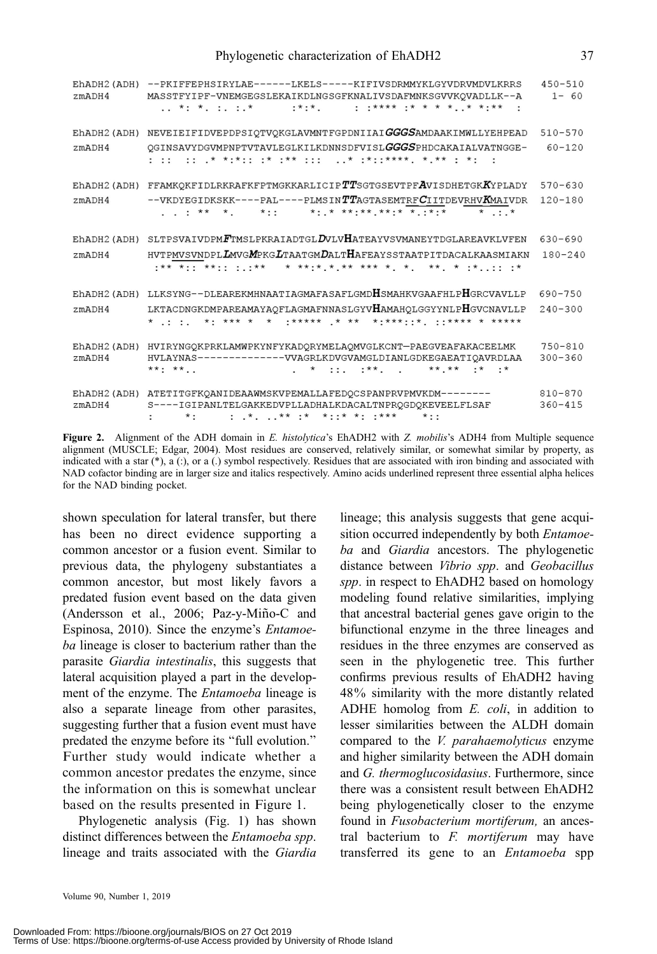| zmADH4       | EhADH2(ADH) --PKIFFEPHSIRYLAE------LKELS-----KIFIVSDRMMYKLGYVDRVMDVLKRRS<br>MASSTFYIPF-VNEMGEGSLEKAIKDLNGSGFKNALIVSDAFMNKSGVVKQVADLLK--A                                                                                                       | $450 - 510$<br>$1 - 60$    |
|--------------|------------------------------------------------------------------------------------------------------------------------------------------------------------------------------------------------------------------------------------------------|----------------------------|
|              | EhADH2(ADH) NEVEIEIFIDVEPDPSIQTVQKGLAVMNTFGPDNIIAIGGGSAMDAAKIMWLLYEHPEAD                                                                                                                                                                       | $510 - 570$                |
| zmADH4       | QGINSAVYDGVMPNPTVTAVLEGLKILKDNNSDFVISLGGGSPHDCAKAIALVATNGGE-                                                                                                                                                                                   | $60 - 120$                 |
| EhADH2 (ADH) | FFAMKQKFIDLRKRAFKFPTMGKKARLICIP $TT$ SGTGSEVTPF $A$ VISDHETGK $K$ YPLADY                                                                                                                                                                       | $570 - 630$                |
| zmADH4       | --VKDYEGIDKSKK----PAL----PLMSINTTAGTASEMTRFCIITDEVRHVKMAIVDR<br>$x + 1 + 2x + 3x + 4$                                                                                                                                                          | $120 - 180$                |
|              | EhADH2(ADH) SLTPSVAIVDPMFTMSLPKRAIADTGLDVLVHATEAYVSVMANEYTDGLAREAVKLVFEN                                                                                                                                                                       | $630 - 690$                |
| zmADH4       | HVTPMVSVNDPL <b>LM</b> VG <b>M</b> PKGLTAATGMDALTHAFEAYSSTAATPITDACALKAASMIAKN                                                                                                                                                                 | $180 - 240$                |
| EhADH2 (ADH) | LLKSYNG--DLEAREKMHNAATIAGMAFASAFLGMDHSMAHKVGAAFHLPHGRCVAVLLP                                                                                                                                                                                   | 690-750                    |
| zmADH4       | LKTACDNGKDMPAREAMAYAQFLAGMAFNNASLGYVHAMAHQLGGYYNLPHGVCNAVLLP<br>* * *** * * ***** * * * * * **** **** * *****                                                                                                                                  | $240 - 300$                |
| zmADH4       | EhADH2(ADH) HVIRYNGQKPRKLAMWPKYNFYKADQRYMELAQMVGLKCNT-PAEGVEAFAKACEELMK<br>HVLAYNAS--------------VVAGRLKDVGVAMGLDIANLGDKEGAEATIQAVRDLAA<br>$\star$ $\cdot$ $\cdot$ $\star$ $\star$ $\star$ $\star$ $\cdot$ $\star$ $\cdot$ $\star$<br>$***$ ** | $750 - 810$<br>$300 - 360$ |
| zmADH4       | EhADH2(ADH) ATETITGFKQANIDEAAWMSKVPEMALLAFEDQCSPANPRVPMVKDM--------<br>S----IGIPANLTELGAKKEDVPLLADHALKDACALTNPRQGDQKEVEELFLSAF<br>- *- - * ** ** *--* *- -***<br>$\star \cdot \cdot$                                                           | $810 - 870$<br>$360 - 415$ |

Figure 2. Alignment of the ADH domain in E. histolytica's EhADH2 with Z. mobilis's ADH4 from Multiple sequence alignment (MUSCLE; Edgar, 2004). Most residues are conserved, relatively similar, or somewhat similar by property, as indicated with a star (\*), a (:), or a (.) symbol respectively. Residues that are associated with iron binding and associated with NAD cofactor binding are in larger size and italics respectively. Amino acids underlined represent three essential alpha helices for the NAD binding pocket.

shown speculation for lateral transfer, but there has been no direct evidence supporting a common ancestor or a fusion event. Similar to previous data, the phylogeny substantiates a common ancestor, but most likely favors a predated fusion event based on the data given (Andersson et al., 2006; Paz-y-Miño-C and Espinosa, 2010). Since the enzyme's Entamoeba lineage is closer to bacterium rather than the parasite Giardia intestinalis, this suggests that lateral acquisition played a part in the development of the enzyme. The Entamoeba lineage is also a separate lineage from other parasites, suggesting further that a fusion event must have predated the enzyme before its ''full evolution.'' Further study would indicate whether a common ancestor predates the enzyme, since the information on this is somewhat unclear based on the results presented in Figure 1.

Phylogenetic analysis (Fig. 1) has shown distinct differences between the Entamoeba spp. lineage and traits associated with the Giardia

lineage; this analysis suggests that gene acquisition occurred independently by both *Entamoe*ba and Giardia ancestors. The phylogenetic distance between Vibrio spp. and Geobacillus spp. in respect to EhADH2 based on homology modeling found relative similarities, implying that ancestral bacterial genes gave origin to the bifunctional enzyme in the three lineages and residues in the three enzymes are conserved as seen in the phylogenetic tree. This further confirms previous results of EhADH2 having 48% similarity with the more distantly related ADHE homolog from E. coli, in addition to lesser similarities between the ALDH domain compared to the V. parahaemolyticus enzyme and higher similarity between the ADH domain and G. thermoglucosidasius. Furthermore, since there was a consistent result between EhADH2 being phylogenetically closer to the enzyme found in Fusobacterium mortiferum, an ancestral bacterium to F. mortiferum may have transferred its gene to an Entamoeba spp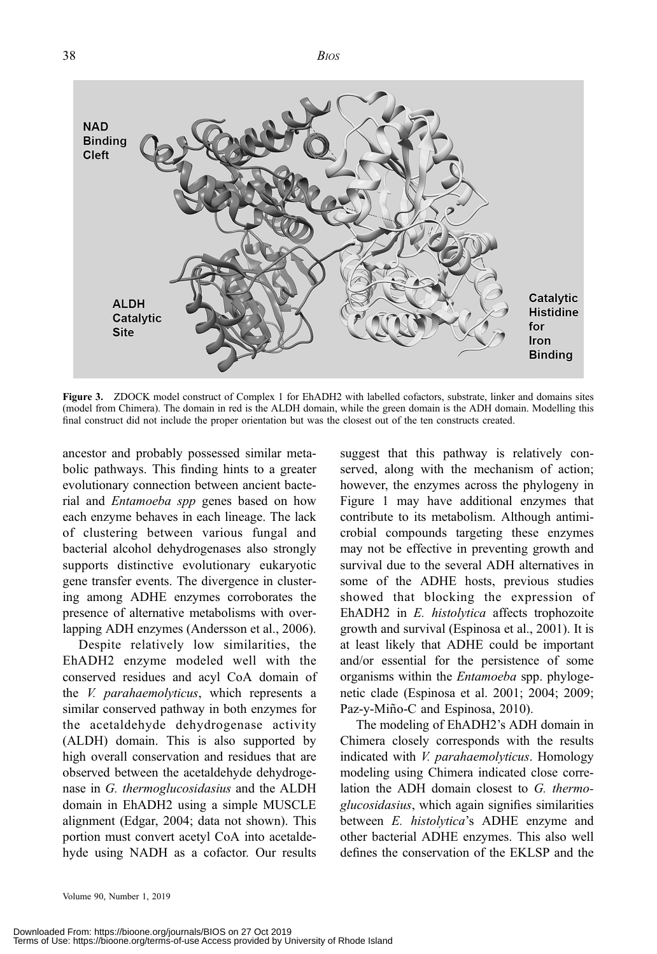$38$  BIOS



Figure 3. ZDOCK model construct of Complex 1 for EhADH2 with labelled cofactors, substrate, linker and domains sites (model from Chimera). The domain in red is the ALDH domain, while the green domain is the ADH domain. Modelling this final construct did not include the proper orientation but was the closest out of the ten constructs created.

ancestor and probably possessed similar metabolic pathways. This finding hints to a greater evolutionary connection between ancient bacterial and Entamoeba spp genes based on how each enzyme behaves in each lineage. The lack of clustering between various fungal and bacterial alcohol dehydrogenases also strongly supports distinctive evolutionary eukaryotic gene transfer events. The divergence in clustering among ADHE enzymes corroborates the presence of alternative metabolisms with overlapping ADH enzymes (Andersson et al., 2006).

Despite relatively low similarities, the EhADH2 enzyme modeled well with the conserved residues and acyl CoA domain of the V. parahaemolyticus, which represents a similar conserved pathway in both enzymes for the acetaldehyde dehydrogenase activity (ALDH) domain. This is also supported by high overall conservation and residues that are observed between the acetaldehyde dehydrogenase in G. thermoglucosidasius and the ALDH domain in EhADH2 using a simple MUSCLE alignment (Edgar, 2004; data not shown). This portion must convert acetyl CoA into acetaldehyde using NADH as a cofactor. Our results suggest that this pathway is relatively conserved, along with the mechanism of action; however, the enzymes across the phylogeny in Figure 1 may have additional enzymes that contribute to its metabolism. Although antimicrobial compounds targeting these enzymes may not be effective in preventing growth and survival due to the several ADH alternatives in some of the ADHE hosts, previous studies showed that blocking the expression of EhADH2 in E. histolytica affects trophozoite growth and survival (Espinosa et al., 2001). It is at least likely that ADHE could be important and/or essential for the persistence of some organisms within the Entamoeba spp. phylogenetic clade (Espinosa et al. 2001; 2004; 2009; Paz-y-Miño-C and Espinosa, 2010).

The modeling of EhADH2's ADH domain in Chimera closely corresponds with the results indicated with *V. parahaemolyticus*. Homology modeling using Chimera indicated close correlation the ADH domain closest to G. thermoglucosidasius, which again signifies similarities between E. histolytica's ADHE enzyme and other bacterial ADHE enzymes. This also well defines the conservation of the EKLSP and the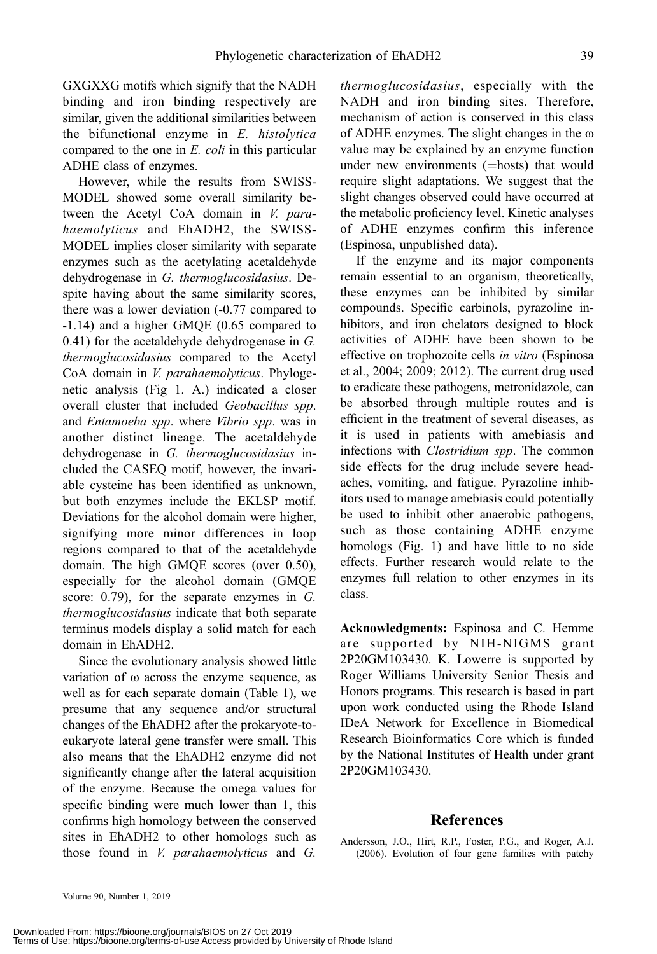GXGXXG motifs which signify that the NADH binding and iron binding respectively are similar, given the additional similarities between the bifunctional enzyme in E. histolytica compared to the one in E. coli in this particular ADHE class of enzymes.

However, while the results from SWISS-MODEL showed some overall similarity between the Acetyl CoA domain in V. parahaemolyticus and EhADH2, the SWISS-MODEL implies closer similarity with separate enzymes such as the acetylating acetaldehyde dehydrogenase in G. thermoglucosidasius. Despite having about the same similarity scores, there was a lower deviation (-0.77 compared to -1.14) and a higher GMQE (0.65 compared to 0.41) for the acetaldehyde dehydrogenase in G. thermoglucosidasius compared to the Acetyl CoA domain in V. parahaemolyticus. Phylogenetic analysis (Fig 1. A.) indicated a closer overall cluster that included Geobacillus spp. and Entamoeba spp. where Vibrio spp. was in another distinct lineage. The acetaldehyde dehydrogenase in G. thermoglucosidasius included the CASEQ motif, however, the invariable cysteine has been identified as unknown, but both enzymes include the EKLSP motif. Deviations for the alcohol domain were higher, signifying more minor differences in loop regions compared to that of the acetaldehyde domain. The high GMQE scores (over 0.50), especially for the alcohol domain (GMQE score: 0.79), for the separate enzymes in G. thermoglucosidasius indicate that both separate terminus models display a solid match for each domain in EhADH2.

Since the evolutionary analysis showed little variation of  $\omega$  across the enzyme sequence, as well as for each separate domain (Table 1), we presume that any sequence and/or structural changes of the EhADH2 after the prokaryote-toeukaryote lateral gene transfer were small. This also means that the EhADH2 enzyme did not significantly change after the lateral acquisition of the enzyme. Because the omega values for specific binding were much lower than 1, this confirms high homology between the conserved sites in EhADH2 to other homologs such as those found in V. parahaemolyticus and G.

thermoglucosidasius, especially with the NADH and iron binding sites. Therefore, mechanism of action is conserved in this class of ADHE enzymes. The slight changes in the  $\omega$ value may be explained by an enzyme function under new environments (=hosts) that would require slight adaptations. We suggest that the slight changes observed could have occurred at the metabolic proficiency level. Kinetic analyses of ADHE enzymes confirm this inference (Espinosa, unpublished data).

If the enzyme and its major components remain essential to an organism, theoretically, these enzymes can be inhibited by similar compounds. Specific carbinols, pyrazoline inhibitors, and iron chelators designed to block activities of ADHE have been shown to be effective on trophozoite cells in vitro (Espinosa et al., 2004; 2009; 2012). The current drug used to eradicate these pathogens, metronidazole, can be absorbed through multiple routes and is efficient in the treatment of several diseases, as it is used in patients with amebiasis and infections with Clostridium spp. The common side effects for the drug include severe headaches, vomiting, and fatigue. Pyrazoline inhibitors used to manage amebiasis could potentially be used to inhibit other anaerobic pathogens, such as those containing ADHE enzyme homologs (Fig. 1) and have little to no side effects. Further research would relate to the enzymes full relation to other enzymes in its class.

Acknowledgments: Espinosa and C. Hemme are supported by NIH-NIGMS grant 2P20GM103430. K. Lowerre is supported by Roger Williams University Senior Thesis and Honors programs. This research is based in part upon work conducted using the Rhode Island IDeA Network for Excellence in Biomedical Research Bioinformatics Core which is funded by the National Institutes of Health under grant 2P20GM103430.

#### References

Andersson, J.O., Hirt, R.P., Foster, P.G., and Roger, A.J. (2006). Evolution of four gene families with patchy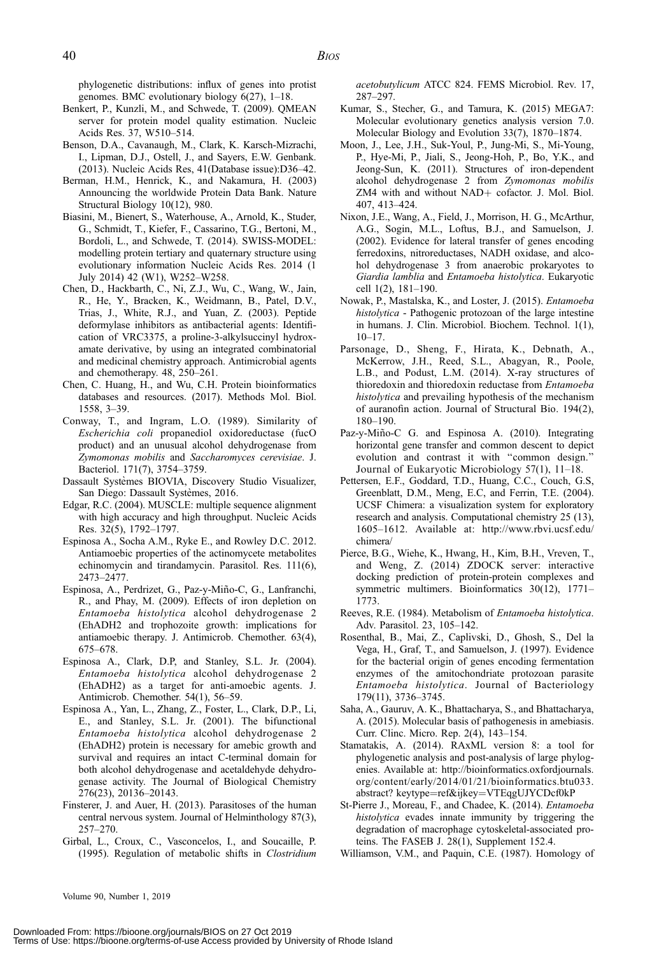phylogenetic distributions: influx of genes into protist genomes. BMC evolutionary biology 6(27), 1–18.

- Benkert, P., Kunzli, M., and Schwede, T. (2009). QMEAN server for protein model quality estimation. Nucleic Acids Res. 37, W510–514.
- Benson, D.A., Cavanaugh, M., Clark, K. Karsch-Mizrachi, I., Lipman, D.J., Ostell, J., and Sayers, E.W. Genbank. (2013). Nucleic Acids Res, 41(Database issue):D36–42.
- Berman, H.M., Henrick, K., and Nakamura, H. (2003) Announcing the worldwide Protein Data Bank. Nature Structural Biology 10(12), 980.
- Biasini, M., Bienert, S., Waterhouse, A., Arnold, K., Studer, G., Schmidt, T., Kiefer, F., Cassarino, T.G., Bertoni, M., Bordoli, L., and Schwede, T. (2014). SWISS-MODEL: modelling protein tertiary and quaternary structure using evolutionary information Nucleic Acids Res. 2014 (1 July 2014) 42 (W1), W252–W258.
- Chen, D., Hackbarth, C., Ni, Z.J., Wu, C., Wang, W., Jain, R., He, Y., Bracken, K., Weidmann, B., Patel, D.V., Trias, J., White, R.J., and Yuan, Z. (2003). Peptide deformylase inhibitors as antibacterial agents: Identification of VRC3375, a proline-3-alkylsuccinyl hydroxamate derivative, by using an integrated combinatorial and medicinal chemistry approach. Antimicrobial agents and chemotherapy. 48, 250–261.
- Chen, C. Huang, H., and Wu, C.H. Protein bioinformatics databases and resources. (2017). Methods Mol. Biol. 1558, 3–39.
- Conway, T., and Ingram, L.O. (1989). Similarity of Escherichia coli propanediol oxidoreductase (fucO product) and an unusual alcohol dehydrogenase from Zymomonas mobilis and Saccharomyces cerevisiae. J. Bacteriol. 171(7), 3754–3759.
- Dassault Systèmes BIOVIA, Discovery Studio Visualizer, San Diego: Dassault Systèmes, 2016.
- Edgar, R.C. (2004). MUSCLE: multiple sequence alignment with high accuracy and high throughput. Nucleic Acids Res. 32(5), 1792–1797.
- Espinosa A., Socha A.M., Ryke E., and Rowley D.C. 2012. Antiamoebic properties of the actinomycete metabolites echinomycin and tirandamycin. Parasitol. Res. 111(6), 2473–2477.
- Espinosa, A., Perdrizet, G., Paz-y-Miño-C, G., Lanfranchi, R., and Phay, M. (2009). Effects of iron depletion on Entamoeba histolytica alcohol dehydrogenase 2 (EhADH2 and trophozoite growth: implications for antiamoebic therapy. J. Antimicrob. Chemother. 63(4), 675–678.
- Espinosa A., Clark, D.P, and Stanley, S.L. Jr. (2004). Entamoeba histolytica alcohol dehydrogenase 2 (EhADH2) as a target for anti-amoebic agents. J. Antimicrob. Chemother. 54(1), 56–59.
- Espinosa A., Yan, L., Zhang, Z., Foster, L., Clark, D.P., Li, E., and Stanley, S.L. Jr. (2001). The bifunctional Entamoeba histolytica alcohol dehydrogenase 2 (EhADH2) protein is necessary for amebic growth and survival and requires an intact C-terminal domain for both alcohol dehydrogenase and acetaldehyde dehydrogenase activity. The Journal of Biological Chemistry 276(23), 20136–20143.
- Finsterer, J. and Auer, H. (2013). Parasitoses of the human central nervous system. Journal of Helminthology 87(3), 257–270.
- Girbal, L., Croux, C., Vasconcelos, I., and Soucaille, P. (1995). Regulation of metabolic shifts in Clostridium

acetobutylicum ATCC 824. FEMS Microbiol. Rev. 17, 287–297.

- Kumar, S., Stecher, G., and Tamura, K. (2015) MEGA7: Molecular evolutionary genetics analysis version 7.0. Molecular Biology and Evolution 33(7), 1870–1874.
- Moon, J., Lee, J.H., Suk-Youl, P., Jung-Mi, S., Mi-Young, P., Hye-Mi, P., Jiali, S., Jeong-Hoh, P., Bo, Y.K., and Jeong-Sun, K. (2011). Structures of iron-dependent alcohol dehydrogenase 2 from Zymomonas mobilis ZM4 with and without NAD+ cofactor. J. Mol. Biol. 407, 413–424.
- Nixon, J.E., Wang, A., Field, J., Morrison, H. G., McArthur, A.G., Sogin, M.L., Loftus, B.J., and Samuelson, J. (2002). Evidence for lateral transfer of genes encoding ferredoxins, nitroreductases, NADH oxidase, and alcohol dehydrogenase 3 from anaerobic prokaryotes to Giardia lamblia and Entamoeba histolytica. Eukaryotic cell 1(2), 181–190.
- Nowak, P., Mastalska, K., and Loster, J. (2015). Entamoeba histolytica - Pathogenic protozoan of the large intestine in humans. J. Clin. Microbiol. Biochem. Technol. 1(1), 10–17.
- Parsonage, D., Sheng, F., Hirata, K., Debnath, A., McKerrow, J.H., Reed, S.L., Abagyan, R., Poole, L.B., and Podust, L.M. (2014). X-ray structures of thioredoxin and thioredoxin reductase from Entamoeba histolytica and prevailing hypothesis of the mechanism of auranofin action. Journal of Structural Bio. 194(2), 180–190.
- Paz-y-Miño-C G. and Espinosa A. (2010). Integrating horizontal gene transfer and common descent to depict evolution and contrast it with ''common design.'' Journal of Eukaryotic Microbiology 57(1), 11–18.
- Pettersen, E.F., Goddard, T.D., Huang, C.C., Couch, G.S, Greenblatt, D.M., Meng, E.C, and Ferrin, T.E. (2004). UCSF Chimera: a visualization system for exploratory research and analysis. Computational chemistry 25 (13), 1605–1612. Available at: http://www.rbvi.ucsf.edu/ chimera/
- Pierce, B.G., Wiehe, K., Hwang, H., Kim, B.H., Vreven, T., and Weng, Z. (2014) ZDOCK server: interactive docking prediction of protein-protein complexes and symmetric multimers. Bioinformatics 30(12), 1771– 1773.
- Reeves, R.E. (1984). Metabolism of Entamoeba histolytica. Adv. Parasitol. 23, 105–142.
- Rosenthal, B., Mai, Z., Caplivski, D., Ghosh, S., Del la Vega, H., Graf, T., and Samuelson, J. (1997). Evidence for the bacterial origin of genes encoding fermentation enzymes of the amitochondriate protozoan parasite Entamoeba histolytica. Journal of Bacteriology 179(11), 3736–3745.
- Saha, A., Gauruv, A. K., Bhattacharya, S., and Bhattacharya, A. (2015). Molecular basis of pathogenesis in amebiasis. Curr. Clinc. Micro. Rep. 2(4), 143–154.
- Stamatakis, A. (2014). RAxML version 8: a tool for phylogenetic analysis and post-analysis of large phylogenies. Available at: http://bioinformatics.oxfordjournals. org/content/early/2014/01/21/bioinformatics.btu033. abstract? keytype=ref&ijkey=VTEqgUJYCDcf0kP
- St-Pierre J., Moreau, F., and Chadee, K. (2014). Entamoeba histolytica evades innate immunity by triggering the degradation of macrophage cytoskeletal-associated proteins. The FASEB J. 28(1), Supplement 152.4.
- Williamson, V.M., and Paquin, C.E. (1987). Homology of